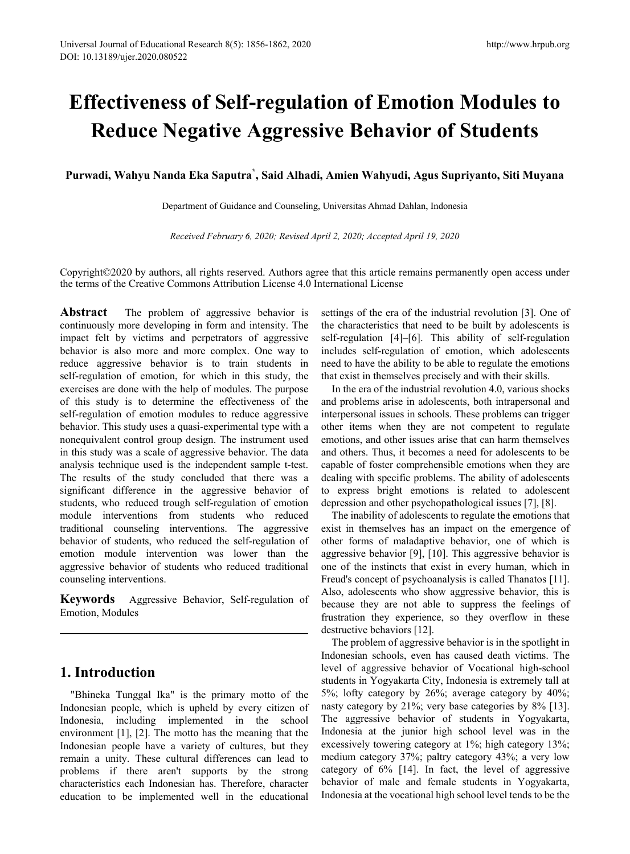# **Effectiveness of Self-regulation of Emotion Modules to Reduce Negative Aggressive Behavior of Students**

**Purwadi, Wahyu Nanda Eka Saputra\* , Said Alhadi, Amien Wahyudi, Agus Supriyanto, Siti Muyana**

Department of Guidance and Counseling, Universitas Ahmad Dahlan, Indonesia

*Received February 6, 2020; Revised April 2, 2020; Accepted April 19, 2020*

Copyright©2020 by authors, all rights reserved. Authors agree that this article remains permanently open access under the terms of the Creative Commons Attribution License 4.0 International License

**Abstract** The problem of aggressive behavior is continuously more developing in form and intensity. The impact felt by victims and perpetrators of aggressive behavior is also more and more complex. One way to reduce aggressive behavior is to train students in self-regulation of emotion, for which in this study, the exercises are done with the help of modules. The purpose of this study is to determine the effectiveness of the self-regulation of emotion modules to reduce aggressive behavior. This study uses a quasi-experimental type with a nonequivalent control group design. The instrument used in this study was a scale of aggressive behavior. The data analysis technique used is the independent sample t-test. The results of the study concluded that there was a significant difference in the aggressive behavior of students, who reduced trough self-regulation of emotion module interventions from students who reduced traditional counseling interventions. The aggressive behavior of students, who reduced the self-regulation of emotion module intervention was lower than the aggressive behavior of students who reduced traditional counseling interventions.

**Keywords** Aggressive Behavior, Self-regulation of Emotion, Modules

# **1. Introduction**

"Bhineka Tunggal Ika" is the primary motto of the Indonesian people, which is upheld by every citizen of Indonesia, including implemented in the school environment [1], [2]. The motto has the meaning that the Indonesian people have a variety of cultures, but they remain a unity. These cultural differences can lead to problems if there aren't supports by the strong characteristics each Indonesian has. Therefore, character education to be implemented well in the educational

settings of the era of the industrial revolution [3]. One of the characteristics that need to be built by adolescents is self-regulation [4]–[6]. This ability of self-regulation includes self-regulation of emotion, which adolescents need to have the ability to be able to regulate the emotions that exist in themselves precisely and with their skills.

In the era of the industrial revolution 4.0, various shocks and problems arise in adolescents, both intrapersonal and interpersonal issues in schools. These problems can trigger other items when they are not competent to regulate emotions, and other issues arise that can harm themselves and others. Thus, it becomes a need for adolescents to be capable of foster comprehensible emotions when they are dealing with specific problems. The ability of adolescents to express bright emotions is related to adolescent depression and other psychopathological issues [7], [8].

The inability of adolescents to regulate the emotions that exist in themselves has an impact on the emergence of other forms of maladaptive behavior, one of which is aggressive behavior [9], [10]. This aggressive behavior is one of the instincts that exist in every human, which in Freud's concept of psychoanalysis is called Thanatos [11]. Also, adolescents who show aggressive behavior, this is because they are not able to suppress the feelings of frustration they experience, so they overflow in these destructive behaviors [12].

The problem of aggressive behavior is in the spotlight in Indonesian schools, even has caused death victims. The level of aggressive behavior of Vocational high-school students in Yogyakarta City, Indonesia is extremely tall at 5%; lofty category by 26%; average category by 40%; nasty category by 21%; very base categories by 8% [13]. The aggressive behavior of students in Yogyakarta, Indonesia at the junior high school level was in the excessively towering category at 1%; high category 13%; medium category 37%; paltry category 43%; a very low category of 6% [14]. In fact, the level of aggressive behavior of male and female students in Yogyakarta, Indonesia at the vocational high school level tends to be the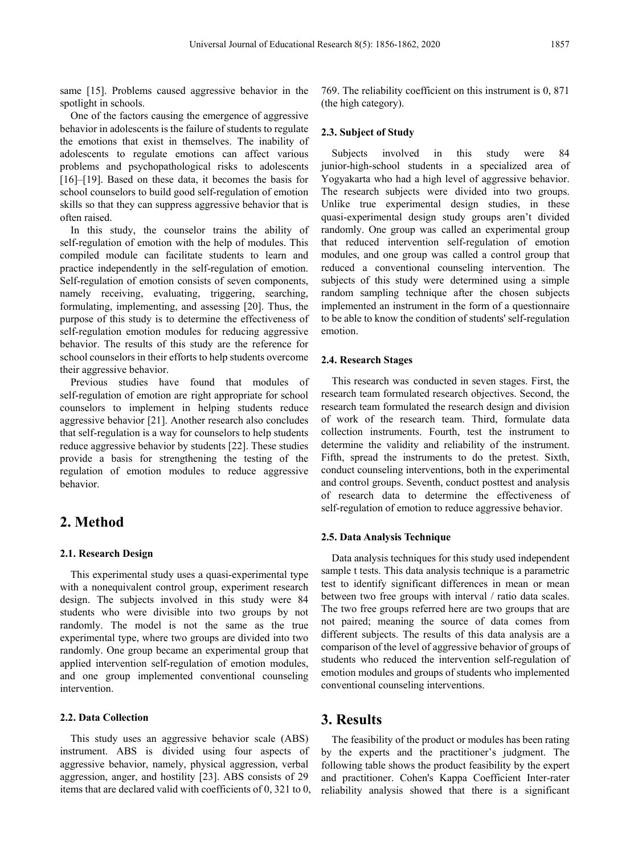same [15]. Problems caused aggressive behavior in the spotlight in schools.

One of the factors causing the emergence of aggressive behavior in adolescents is the failure of students to regulate the emotions that exist in themselves. The inability of adolescents to regulate emotions can affect various problems and psychopathological risks to adolescents [16]–[19]. Based on these data, it becomes the basis for school counselors to build good self-regulation of emotion skills so that they can suppress aggressive behavior that is often raised.

In this study, the counselor trains the ability of self-regulation of emotion with the help of modules. This compiled module can facilitate students to learn and practice independently in the self-regulation of emotion. Self-regulation of emotion consists of seven components, namely receiving, evaluating, triggering, searching, formulating, implementing, and assessing [20]. Thus, the purpose of this study is to determine the effectiveness of self-regulation emotion modules for reducing aggressive behavior. The results of this study are the reference for school counselors in their efforts to help students overcome their aggressive behavior.

Previous studies have found that modules of self-regulation of emotion are right appropriate for school counselors to implement in helping students reduce aggressive behavior [21]. Another research also concludes that self-regulation is a way for counselors to help students reduce aggressive behavior by students [22]. These studies provide a basis for strengthening the testing of the regulation of emotion modules to reduce aggressive behavior.

# **2. Method**

#### **2.1. Research Design**

This experimental study uses a quasi-experimental type with a nonequivalent control group, experiment research design. The subjects involved in this study were 84 students who were divisible into two groups by not randomly. The model is not the same as the true experimental type, where two groups are divided into two randomly. One group became an experimental group that applied intervention self-regulation of emotion modules, and one group implemented conventional counseling intervention.

#### **2.2. Data Collection**

This study uses an aggressive behavior scale (ABS) instrument. ABS is divided using four aspects of aggressive behavior, namely, physical aggression, verbal aggression, anger, and hostility [23]. ABS consists of 29 items that are declared valid with coefficients of 0, 321 to 0, 769. The reliability coefficient on this instrument is 0, 871 (the high category).

#### **2.3. Subject of Study**

Subjects involved in this study were 84 junior-high-school students in a specialized area of Yogyakarta who had a high level of aggressive behavior. The research subjects were divided into two groups. Unlike true experimental design studies, in these quasi-experimental design study groups aren't divided randomly. One group was called an experimental group that reduced intervention self-regulation of emotion modules, and one group was called a control group that reduced a conventional counseling intervention. The subjects of this study were determined using a simple random sampling technique after the chosen subjects implemented an instrument in the form of a questionnaire to be able to know the condition of students' self-regulation emotion.

#### **2.4. Research Stages**

This research was conducted in seven stages. First, the research team formulated research objectives. Second, the research team formulated the research design and division of work of the research team. Third, formulate data collection instruments. Fourth, test the instrument to determine the validity and reliability of the instrument. Fifth, spread the instruments to do the pretest. Sixth, conduct counseling interventions, both in the experimental and control groups. Seventh, conduct posttest and analysis of research data to determine the effectiveness of self-regulation of emotion to reduce aggressive behavior.

#### **2.5. Data Analysis Technique**

Data analysis techniques for this study used independent sample t tests. This data analysis technique is a parametric test to identify significant differences in mean or mean between two free groups with interval / ratio data scales. The two free groups referred here are two groups that are not paired; meaning the source of data comes from different subjects. The results of this data analysis are a comparison of the level of aggressive behavior of groups of students who reduced the intervention self-regulation of emotion modules and groups of students who implemented conventional counseling interventions.

## **3. Results**

The feasibility of the product or modules has been rating by the experts and the practitioner's judgment. The following table shows the product feasibility by the expert and practitioner. Cohen's Kappa Coefficient Inter-rater reliability analysis showed that there is a significant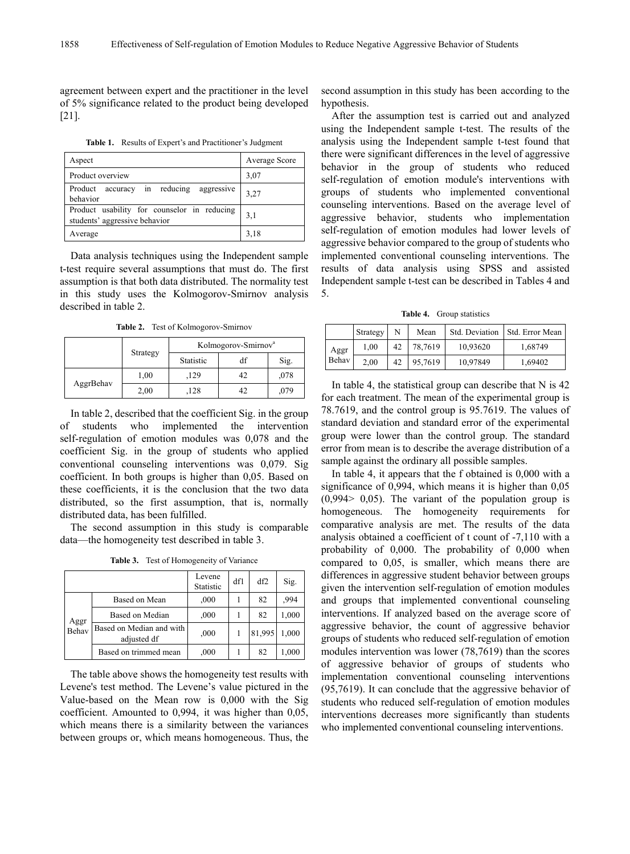agreement between expert and the practitioner in the level of 5% significance related to the product being developed [21].

**Table 1.** Results of Expert's and Practitioner's Judgment

| Aspect                                                                       | Average Score |
|------------------------------------------------------------------------------|---------------|
| Product overview                                                             | 3,07          |
| accuracy in reducing aggressive<br>Product<br>behavior                       | 3,27          |
| Product usability for counselor in reducing<br>students' aggressive behavior | 3,1           |
| Average                                                                      | 3,18          |

Data analysis techniques using the Independent sample t-test require several assumptions that must do. The first assumption is that both data distributed. The normality test in this study uses the Kolmogorov-Smirnov analysis described in table 2.

**Table 2.** Test of Kolmogorov-Smirnov

|           |          | Kolmogorov-Smirnov <sup>a</sup> |    |      |  |
|-----------|----------|---------------------------------|----|------|--|
|           | Strategy | Statistic                       | df | Sig. |  |
| AggrBehav | 1,00     | 129                             | 42 | ,078 |  |
|           | 2,00     | 128                             |    | ,079 |  |

In table 2, described that the coefficient Sig. in the group of students who implemented the intervention self-regulation of emotion modules was 0,078 and the coefficient Sig. in the group of students who applied conventional counseling interventions was 0,079. Sig coefficient. In both groups is higher than 0,05. Based on these coefficients, it is the conclusion that the two data distributed, so the first assumption, that is, normally distributed data, has been fulfilled.

The second assumption in this study is comparable data—the homogeneity test described in table 3.

**Table 3.** Test of Homogeneity of Variance

|               |                                         | Levene<br>Statistic | df1 | df2    | Sig.  |
|---------------|-----------------------------------------|---------------------|-----|--------|-------|
|               | Based on Mean                           | ,000                |     | 82     | .994  |
| Aggr<br>Behav | Based on Median                         | ,000                |     | 82     | 1,000 |
|               | Based on Median and with<br>adjusted df | ,000                |     | 81,995 | 1,000 |
|               | Based on trimmed mean                   | ,000                |     | 82     | 1,000 |

The table above shows the homogeneity test results with Levene's test method. The Levene's value pictured in the Value-based on the Mean row is 0,000 with the Sig coefficient. Amounted to 0,994, it was higher than 0,05, which means there is a similarity between the variances between groups or, which means homogeneous. Thus, the second assumption in this study has been according to the hypothesis.

After the assumption test is carried out and analyzed using the Independent sample t-test. The results of the analysis using the Independent sample t-test found that there were significant differences in the level of aggressive behavior in the group of students who reduced self-regulation of emotion module's interventions with groups of students who implemented conventional counseling interventions. Based on the average level of aggressive behavior, students who implementation self-regulation of emotion modules had lower levels of aggressive behavior compared to the group of students who implemented conventional counseling interventions. The results of data analysis using SPSS and assisted Independent sample t-test can be described in Tables 4 and 5.

**Table 4.** Group statistics

|       | Strategy | N  | Mean    | Std. Deviation | Std. Error Mean |
|-------|----------|----|---------|----------------|-----------------|
| Aggr  | 1.00     | 42 | 78,7619 | 10,93620       | 1,68749         |
| Behav | 2.00     | 42 | 95,7619 | 10,97849       | 1,69402         |

In table 4, the statistical group can describe that N is 42 for each treatment. The mean of the experimental group is 78.7619, and the control group is 95.7619. The values of standard deviation and standard error of the experimental group were lower than the control group. The standard error from mean is to describe the average distribution of a sample against the ordinary all possible samples.

In table 4, it appears that the f obtained is 0,000 with a significance of 0,994, which means it is higher than 0,05  $(0,994> 0,05)$ . The variant of the population group is homogeneous. The homogeneity requirements for comparative analysis are met. The results of the data analysis obtained a coefficient of t count of -7,110 with a probability of 0,000. The probability of 0,000 when compared to 0,05, is smaller, which means there are differences in aggressive student behavior between groups given the intervention self-regulation of emotion modules and groups that implemented conventional counseling interventions. If analyzed based on the average score of aggressive behavior, the count of aggressive behavior groups of students who reduced self-regulation of emotion modules intervention was lower (78,7619) than the scores of aggressive behavior of groups of students who implementation conventional counseling interventions (95,7619). It can conclude that the aggressive behavior of students who reduced self-regulation of emotion modules interventions decreases more significantly than students who implemented conventional counseling interventions.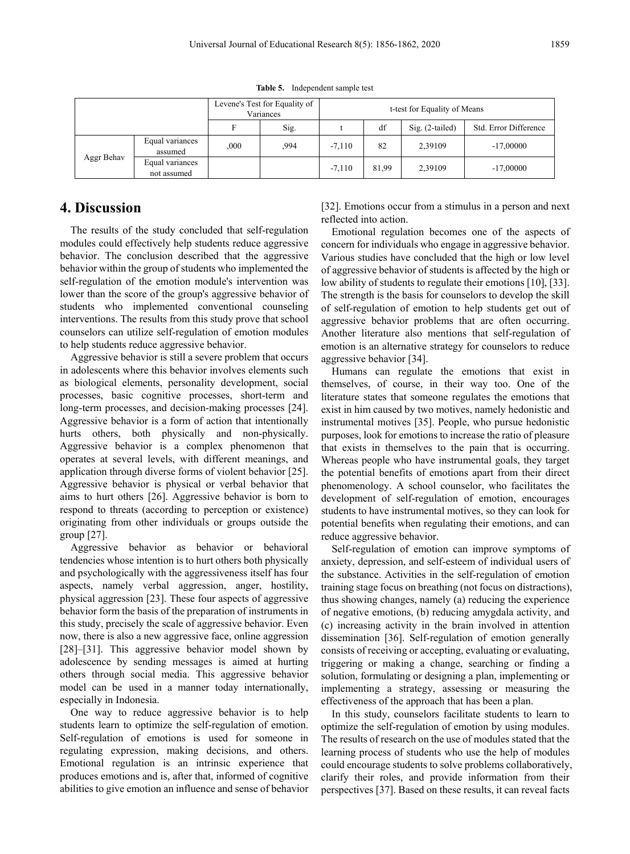|            |                                | Levene's Test for Equality of<br>Variances |      | t-test for Equality of Means |       |                   |                       |
|------------|--------------------------------|--------------------------------------------|------|------------------------------|-------|-------------------|-----------------------|
|            |                                |                                            | Sig. |                              | df    | $Sig. (2-tailed)$ | Std. Error Difference |
| Aggr Behav | Equal variances<br>assumed     | ,000                                       | 994  | $-7.110$                     | 82    | 2,39109           | $-17,00000$           |
|            | Equal variances<br>not assumed |                                            |      | $-7.110$                     | 81,99 | 2,39109           | $-17,00000$           |

**Table 5.** Independent sample test

## **4. Discussion**

The results of the study concluded that self-regulation modules could effectively help students reduce aggressive behavior. The conclusion described that the aggressive behavior within the group of students who implemented the self-regulation of the emotion module's intervention was lower than the score of the group's aggressive behavior of students who implemented conventional counseling interventions. The results from this study prove that school counselors can utilize self-regulation of emotion modules to help students reduce aggressive behavior.

Aggressive behavior is still a severe problem that occurs in adolescents where this behavior involves elements such as biological elements, personality development, social processes, basic cognitive processes, short-term and long-term processes, and decision-making processes [24]. Aggressive behavior is a form of action that intentionally hurts others, both physically and non-physically. Aggressive behavior is a complex phenomenon that operates at several levels, with different meanings, and application through diverse forms of violent behavior [25]. Aggressive behavior is physical or verbal behavior that aims to hurt others [26]. Aggressive behavior is born to respond to threats (according to perception or existence) originating from other individuals or groups outside the group [27].

Aggressive behavior as behavior or behavioral tendencies whose intention is to hurt others both physically and psychologically with the aggressiveness itself has four aspects, namely verbal aggression, anger, hostility, physical aggression [23]. These four aspects of aggressive behavior form the basis of the preparation of instruments in this study, precisely the scale of aggressive behavior. Even now, there is also a new aggressive face, online aggression [28]–[31]. This aggressive behavior model shown by adolescence by sending messages is aimed at hurting others through social media. This aggressive behavior model can be used in a manner today internationally, especially in Indonesia.

One way to reduce aggressive behavior is to help students learn to optimize the self-regulation of emotion. Self-regulation of emotions is used for someone in regulating expression, making decisions, and others. Emotional regulation is an intrinsic experience that produces emotions and is, after that, informed of cognitive abilities to give emotion an influence and sense of behavior

[32]. Emotions occur from a stimulus in a person and next reflected into action.

Emotional regulation becomes one of the aspects of concern for individuals who engage in aggressive behavior. Various studies have concluded that the high or low level of aggressive behavior of students is affected by the high or low ability of students to regulate their emotions [10], [33]. The strength is the basis for counselors to develop the skill of self-regulation of emotion to help students get out of aggressive behavior problems that are often occurring. Another literature also mentions that self-regulation of emotion is an alternative strategy for counselors to reduce aggressive behavior [34].

Humans can regulate the emotions that exist in themselves, of course, in their way too. One of the literature states that someone regulates the emotions that exist in him caused by two motives, namely hedonistic and instrumental motives [35]. People, who pursue hedonistic purposes, look for emotions to increase the ratio of pleasure that exists in themselves to the pain that is occurring. Whereas people who have instrumental goals, they target the potential benefits of emotions apart from their direct phenomenology. A school counselor, who facilitates the development of self-regulation of emotion, encourages students to have instrumental motives, so they can look for potential benefits when regulating their emotions, and can reduce aggressive behavior.

Self-regulation of emotion can improve symptoms of anxiety, depression, and self-esteem of individual users of the substance. Activities in the self-regulation of emotion training stage focus on breathing (not focus on distractions), thus showing changes, namely (a) reducing the experience of negative emotions, (b) reducing amygdala activity, and (c) increasing activity in the brain involved in attention dissemination [36]. Self-regulation of emotion generally consists of receiving or accepting, evaluating or evaluating, triggering or making a change, searching or finding a solution, formulating or designing a plan, implementing or implementing a strategy, assessing or measuring the effectiveness of the approach that has been a plan.

In this study, counselors facilitate students to learn to optimize the self-regulation of emotion by using modules. The results of research on the use of modules stated that the learning process of students who use the help of modules could encourage students to solve problems collaboratively, clarify their roles, and provide information from their perspectives [37]. Based on these results, it can reveal facts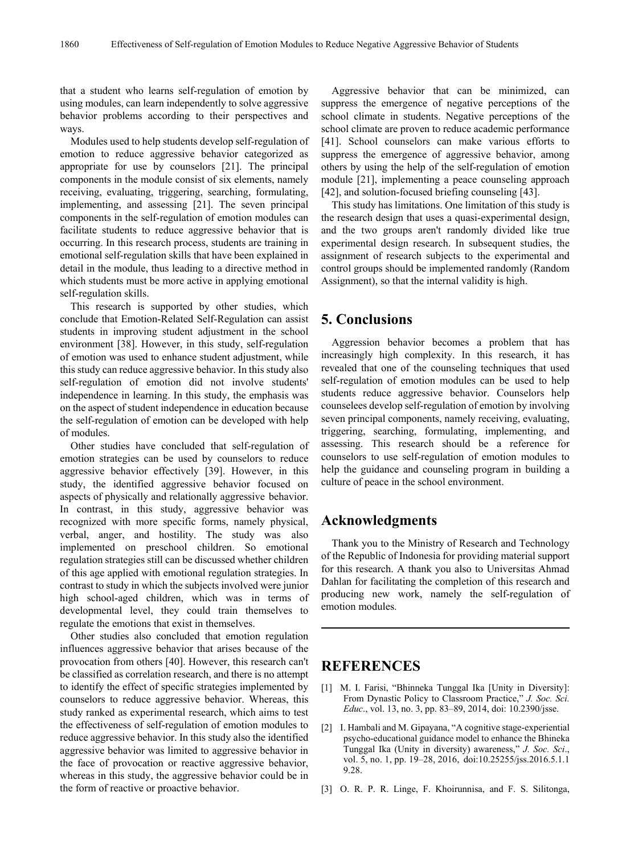that a student who learns self-regulation of emotion by using modules, can learn independently to solve aggressive behavior problems according to their perspectives and ways.

Modules used to help students develop self-regulation of emotion to reduce aggressive behavior categorized as appropriate for use by counselors [21]. The principal components in the module consist of six elements, namely receiving, evaluating, triggering, searching, formulating, implementing, and assessing [21]. The seven principal components in the self-regulation of emotion modules can facilitate students to reduce aggressive behavior that is occurring. In this research process, students are training in emotional self-regulation skills that have been explained in detail in the module, thus leading to a directive method in which students must be more active in applying emotional self-regulation skills.

This research is supported by other studies, which conclude that Emotion-Related Self-Regulation can assist students in improving student adjustment in the school environment [38]. However, in this study, self-regulation of emotion was used to enhance student adjustment, while this study can reduce aggressive behavior. In this study also self-regulation of emotion did not involve students' independence in learning. In this study, the emphasis was on the aspect of student independence in education because the self-regulation of emotion can be developed with help of modules.

Other studies have concluded that self-regulation of emotion strategies can be used by counselors to reduce aggressive behavior effectively [39]. However, in this study, the identified aggressive behavior focused on aspects of physically and relationally aggressive behavior. In contrast, in this study, aggressive behavior was recognized with more specific forms, namely physical, verbal, anger, and hostility. The study was also implemented on preschool children. So emotional regulation strategies still can be discussed whether children of this age applied with emotional regulation strategies. In contrast to study in which the subjects involved were junior high school-aged children, which was in terms of developmental level, they could train themselves to regulate the emotions that exist in themselves.

Other studies also concluded that emotion regulation influences aggressive behavior that arises because of the provocation from others [40]. However, this research can't be classified as correlation research, and there is no attempt to identify the effect of specific strategies implemented by counselors to reduce aggressive behavior. Whereas, this study ranked as experimental research, which aims to test the effectiveness of self-regulation of emotion modules to reduce aggressive behavior. In this study also the identified aggressive behavior was limited to aggressive behavior in the face of provocation or reactive aggressive behavior, whereas in this study, the aggressive behavior could be in the form of reactive or proactive behavior.

Aggressive behavior that can be minimized, can suppress the emergence of negative perceptions of the school climate in students. Negative perceptions of the school climate are proven to reduce academic performance [41]. School counselors can make various efforts to suppress the emergence of aggressive behavior, among others by using the help of the self-regulation of emotion module [21], implementing a peace counseling approach [42], and solution-focused briefing counseling [43].

This study has limitations. One limitation of this study is the research design that uses a quasi-experimental design, and the two groups aren't randomly divided like true experimental design research. In subsequent studies, the assignment of research subjects to the experimental and control groups should be implemented randomly (Random Assignment), so that the internal validity is high.

## **5. Conclusions**

Aggression behavior becomes a problem that has increasingly high complexity. In this research, it has revealed that one of the counseling techniques that used self-regulation of emotion modules can be used to help students reduce aggressive behavior. Counselors help counselees develop self-regulation of emotion by involving seven principal components, namely receiving, evaluating, triggering, searching, formulating, implementing, and assessing. This research should be a reference for counselors to use self-regulation of emotion modules to help the guidance and counseling program in building a culture of peace in the school environment.

### **Acknowledgments**

Thank you to the Ministry of Research and Technology of the Republic of Indonesia for providing material support for this research. A thank you also to Universitas Ahmad Dahlan for facilitating the completion of this research and producing new work, namely the self-regulation of emotion modules.

## **REFERENCES**

- [1] M. I. Farisi, "Bhinneka Tunggal Ika [Unity in Diversity]: From Dynastic Policy to Classroom Practice," *J. Soc. Sci. Educ*., vol. 13, no. 3, pp. 83–89, 2014, doi: 10.2390/jsse.
- [2] I. Hambali and M. Gipayana, "A cognitive stage-experiential psycho-educational guidance model to enhance the Bhineka Tunggal Ika (Unity in diversity) awareness," *J. Soc. Sci*., vol. 5, no. 1, pp. 19–28, 2016, doi:10.25255/jss.2016.5.1.1 9.28.
- [3] O. R. P. R. Linge, F. Khoirunnisa, and F. S. Silitonga,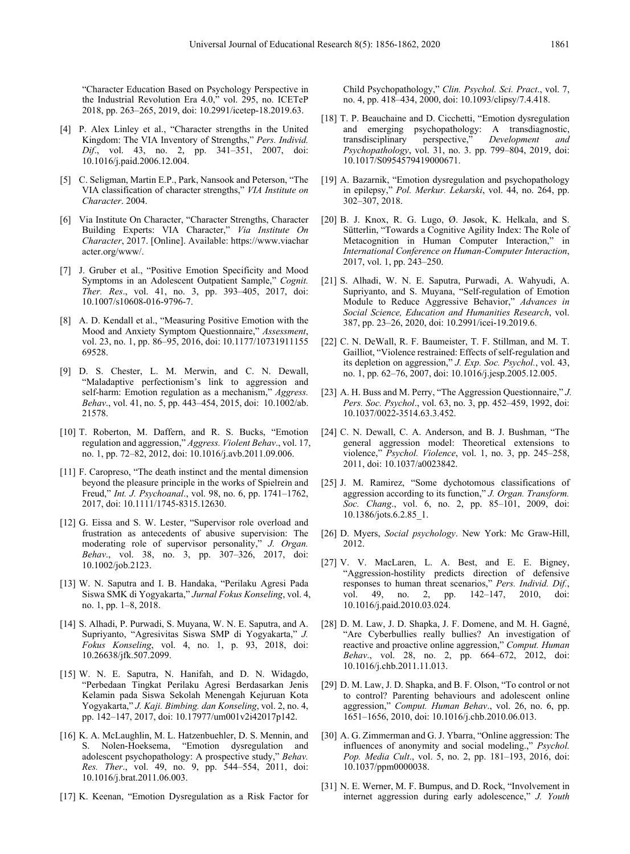"Character Education Based on Psychology Perspective in the Industrial Revolution Era 4.0," vol. 295, no. ICETeP 2018, pp. 263–265, 2019, doi: 10.2991/icetep-18.2019.63.

- [4] P. Alex Linley et al., "Character strengths in the United Kingdom: The VIA Inventory of Strengths," *Pers. Individ. Dif*., vol. 43, no. 2, pp. 341–351, 2007, doi: 10.1016/j.paid.2006.12.004.
- [5] C. Seligman, Martin E.P., Park, Nansook and Peterson, "The VIA classification of character strengths," *VIA Institute on Character*. 2004.
- [6] Via Institute On Character, "Character Strengths, Character Building Experts: VIA Character," *Via Institute On Character*, 2017. [Online]. Available: https://www.viachar acter.org/www/.
- [7] J. Gruber et al., "Positive Emotion Specificity and Mood Symptoms in an Adolescent Outpatient Sample," *Cognit. Ther. Res*., vol. 41, no. 3, pp. 393–405, 2017, doi: 10.1007/s10608-016-9796-7.
- [8] A. D. Kendall et al., "Measuring Positive Emotion with the Mood and Anxiety Symptom Questionnaire," *Assessment*, vol. 23, no. 1, pp. 86–95, 2016, doi: 10.1177/10731911155 69528.
- [9] D. S. Chester, L. M. Merwin, and C. N. Dewall, "Maladaptive perfectionism's link to aggression and self-harm: Emotion regulation as a mechanism," *Aggress. Behav*., vol. 41, no. 5, pp. 443–454, 2015, doi: 10.1002/ab. 21578.
- [10] T. Roberton, M. Daffern, and R. S. Bucks, "Emotion regulation and aggression," *Aggress. Violent Behav*., vol. 17, no. 1, pp. 72–82, 2012, doi: 10.1016/j.avb.2011.09.006.
- [11] F. Caropreso, "The death instinct and the mental dimension beyond the pleasure principle in the works of Spielrein and Freud," *Int. J. Psychoanal*., vol. 98, no. 6, pp. 1741–1762, 2017, doi: 10.1111/1745-8315.12630.
- [12] G. Eissa and S. W. Lester, "Supervisor role overload and frustration as antecedents of abusive supervision: The moderating role of supervisor personality," *J. Organ. Behav*., vol. 38, no. 3, pp. 307–326, 2017, doi: 10.1002/job.2123.
- [13] W. N. Saputra and I. B. Handaka, "Perilaku Agresi Pada Siswa SMK di Yogyakarta," *Jurnal Fokus Konseling*, vol. 4, no. 1, pp. 1–8, 2018.
- [14] S. Alhadi, P. Purwadi, S. Muyana, W. N. E. Saputra, and A. Supriyanto, "Agresivitas Siswa SMP di Yogyakarta," *J. Fokus Konseling*, vol. 4, no. 1, p. 93, 2018, doi: 10.26638/jfk.507.2099.
- [15] W. N. E. Saputra, N. Hanifah, and D. N. Widagdo, "Perbedaan Tingkat Perilaku Agresi Berdasarkan Jenis Kelamin pada Siswa Sekolah Menengah Kejuruan Kota Yogyakarta," *J. Kaji. Bimbing. dan Konseling*, vol. 2, no. 4, pp. 142–147, 2017, doi: 10.17977/um001v2i42017p142.
- [16] K. A. McLaughlin, M. L. Hatzenbuehler, D. S. Mennin, and S. Nolen-Hoeksema, "Emotion dysregulation and adolescent psychopathology: A prospective study," *Behav. Res. Ther*., vol. 49, no. 9, pp. 544–554, 2011, doi: 10.1016/j.brat.2011.06.003.
- [17] K. Keenan, "Emotion Dysregulation as a Risk Factor for

Child Psychopathology," *Clin. Psychol. Sci. Pract*., vol. 7, no. 4, pp. 418–434, 2000, doi: 10.1093/clipsy/7.4.418.

- [18] T. P. Beauchaine and D. Cicchetti, "Emotion dysregulation and emerging psychopathology: A transdiagnostic, transdisciplinary perspective," Development and transdisciplinary *Psychopathology*, vol. 31, no. 3. pp. 799–804, 2019, doi: 10.1017/S0954579419000671.
- [19] A. Bazarnik, "Emotion dysregulation and psychopathology in epilepsy," *Pol. Merkur. Lekarski*, vol. 44, no. 264, pp. 302–307, 2018.
- [20] B. J. Knox, R. G. Lugo, Ø. Jøsok, K. Helkala, and S. Sütterlin, "Towards a Cognitive Agility Index: The Role of Metacognition in Human Computer Interaction," in *International Conference on Human-Computer Interaction*, 2017, vol. 1, pp. 243–250.
- [21] S. Alhadi, W. N. E. Saputra, Purwadi, A. Wahyudi, A. Supriyanto, and S. Muyana, "Self-regulation of Emotion Module to Reduce Aggressive Behavior," *Advances in Social Science, Education and Humanities Research*, vol. 387, pp. 23–26, 2020, doi: 10.2991/icei-19.2019.6.
- [22] C. N. DeWall, R. F. Baumeister, T. F. Stillman, and M. T. Gailliot, "Violence restrained: Effects of self-regulation and its depletion on aggression," *J. Exp. Soc. Psychol.*, vol. 43, no. 1, pp. 62–76, 2007, doi: 10.1016/j.jesp.2005.12.005.
- [23] A. H. Buss and M. Perry, "The Aggression Questionnaire," *J. Pers. Soc. Psychol*., vol. 63, no. 3, pp. 452–459, 1992, doi: 10.1037/0022-3514.63.3.452.
- [24] C. N. Dewall, C. A. Anderson, and B. J. Bushman, "The general aggression model: Theoretical extensions to violence," *Psychol. Violence*, vol. 1, no. 3, pp. 245–258, 2011, doi: 10.1037/a0023842.
- [25] J. M. Ramirez, "Some dychotomous classifications of aggression according to its function," *J. Organ. Transform. Soc. Chang*., vol. 6, no. 2, pp. 85–101, 2009, doi: 10.1386/jots.6.2.85\_1.
- [26] D. Myers, *Social psychology*. New York: Mc Graw-Hill, 2012.
- [27] V. V. MacLaren, L. A. Best, and E. E. Bigney, "Aggression-hostility predicts direction of defensive responses to human threat scenarios," *Pers. Individ. Dif.*, vol. 49, no. 2, pp. 142–147, 2010, doi: vol. 49, no. 2, pp. 142–147, 2010, doi: 10.1016/j.paid.2010.03.024.
- [28] D. M. Law, J. D. Shapka, J. F. Domene, and M. H. Gagné, "Are Cyberbullies really bullies? An investigation of reactive and proactive online aggression," *Comput. Human Behav*., vol. 28, no. 2, pp. 664–672, 2012, doi: 10.1016/j.chb.2011.11.013.
- [29] D. M. Law, J. D. Shapka, and B. F. Olson, "To control or not to control? Parenting behaviours and adolescent online aggression," *Comput. Human Behav*., vol. 26, no. 6, pp. 1651–1656, 2010, doi: 10.1016/j.chb.2010.06.013.
- [30] A. G. Zimmerman and G. J. Ybarra, "Online aggression: The influences of anonymity and social modeling.," *Psychol. Pop. Media Cult*., vol. 5, no. 2, pp. 181–193, 2016, doi: 10.1037/ppm0000038.
- [31] N. E. Werner, M. F. Bumpus, and D. Rock, "Involvement in internet aggression during early adolescence," *J. Youth*